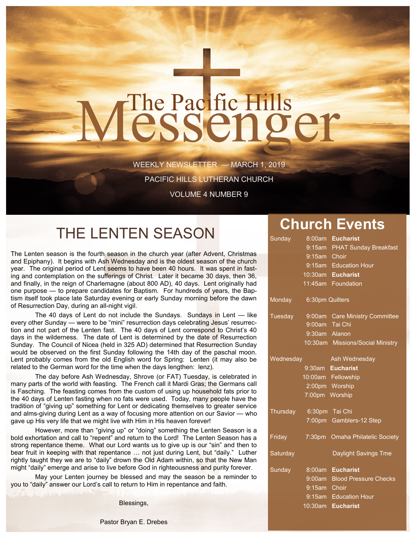# The Pacific Hills<br>CSSCNQCT

WEEKLY NEWSLETTER — MARCH 1, 2019

PACIFIC HILLS LUTHERAN CHURCH

VOLUME 4 NUMBER 9

# THE LENTEN SEASON **Church Events**

The Lenten season is the fourth season in the church year (after Advent, Christmas and Epiphany). It begins with Ash Wednesday and is the oldest season of the church year. The original period of Lent seems to have been 40 hours. It was spent in fasting and contemplation on the sufferings of Christ. Later it became 30 days, then 36, and finally, in the reign of Charlemagne (about 800 AD), 40 days. Lent originally had one purpose — to prepare candidates for Baptism. For hundreds of years, the Baptism itself took place late Saturday evening or early Sunday morning before the dawn of Resurrection Day, during an all-night vigil.

The 40 days of Lent do not include the Sundays. Sundays in Lent — like every other Sunday — were to be "mini" resurrection days celebrating Jesus' resurrection and not part of the Lenten fast. The 40 days of Lent correspond to Christ's 40 days in the wilderness. The date of Lent is determined by the date of Resurrection Sunday. The Council of Nicea (held in 325 AD) determined that Resurrection Sunday would be observed on the first Sunday following the 14th day of the paschal moon. Lent probably comes from the old English word for Spring: Lenten (it may also be related to the German word for the time when the days lengthen: lenz).

The day before Ash Wednesday, Shrove (or FAT) Tuesday, is celebrated in many parts of the world with feasting. The French call it Mardi Gras; the Germans call is Fasching. The feasting comes from the custom of using up household fats prior to the 40 days of Lenten fasting when no fats were used. Today, many people have the tradition of "giving up" something for Lent or dedicating themselves to greater service and alms-giving during Lent as a way of focusing more attention on our Savior — who gave up His very life that we might live with Him in His heaven forever!

However, more than "giving up" or "doing" something the Lenten Season is a bold exhortation and call to "repent" and return to the Lord! The Lenten Season has a strong repentance theme. What our Lord wants us to give up is our "sin" and then to bear fruit in keeping with that repentance … not just during Lent, but "daily." Luther rightly taught they we are to "daily" drown the Old Adam within, so that the New Man might "daily" emerge and arise to live before God in righteousness and purity forever.

May your Lenten journey be blessed and may the season be a reminder to you to "daily" answer our Lord's call to return to Him in repentance and faith.

Blessings,

| Sunday         | 8:00am          | <b>Eucharist</b>                 |
|----------------|-----------------|----------------------------------|
|                |                 | 9:15am PHAT Sunday Breakfast     |
|                | 9:15am Choir    |                                  |
|                |                 | 9:15am Education Hour            |
|                |                 | 10:30am Eucharist                |
|                |                 | 11:45am Foundation               |
| Monday         | 6:30pm Quilters |                                  |
| <b>Tuesday</b> |                 | 9:00am Care Ministry Committee   |
|                | 9:00am Tai Chi  |                                  |
|                | 9:30am Alanon   |                                  |
|                |                 | 10:30am Missions/Social Ministry |
| Wednesday      |                 | Ash Wednesday                    |
|                |                 | 9:30am Eucharist                 |
|                |                 | 10:00am Fellowship               |
|                |                 | 2:00pm Worship                   |
|                | 7:00pm Worship  |                                  |
| Thursday       | 6:30pm Tai Chi  |                                  |
|                |                 | 7:00pm Gamblers-12 Step          |
| Friday         | 7:30pm          | <b>Omaha Philatelic Society</b>  |
| Saturday       |                 | Daylight Savings Tme             |
| Sunday         |                 | 8:00am Eucharist                 |
|                |                 | 9:00am Blood Pressure Checks     |
|                | 9:15am Choir    |                                  |
|                |                 | 9:15am Education Hour            |
|                |                 | 10:30am Eucharist                |

Pastor Bryan E. Drebes